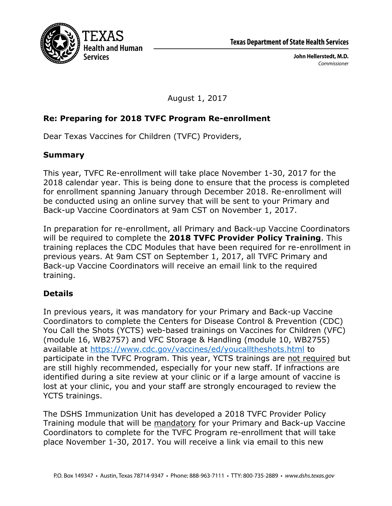

August 1, 2017

## **Re: Preparing for 2018 TVFC Program Re-enrollment**

Dear Texas Vaccines for Children (TVFC) Providers,

## **Summary**

This year, TVFC Re-enrollment will take place November 1-30, 2017 for the 2018 calendar year. This is being done to ensure that the process is completed for enrollment spanning January through December 2018. Re-enrollment will be conducted using an online survey that will be sent to your Primary and Back-up Vaccine Coordinators at 9am CST on November 1, 2017.

In preparation for re-enrollment, all Primary and Back-up Vaccine Coordinators will be required to complete the **2018 TVFC Provider Policy Training**. This training replaces the CDC Modules that have been required for re-enrollment in previous years. At 9am CST on September 1, 2017, all TVFC Primary and Back-up Vaccine Coordinators will receive an email link to the required training.

## **Details**

In previous years, it was mandatory for your Primary and Back-up Vaccine Coordinators to complete the Centers for Disease Control & Prevention (CDC) You Call the Shots (YCTS) web-based trainings on Vaccines for Children (VFC) (module 16, WB2757) and VFC Storage & Handling (module 10, WB2755) available at https://www.cdc.gov/vaccines/ed/youcalltheshots.html to participate in the TVFC Program. This year, YCTS trainings are not required but are still highly recommended, especially for your new staff. If infractions are identified during a site review at your clinic or if a large amount of vaccine is lost at your clinic, you and your staff are strongly encouraged to review the YCTS trainings.

The DSHS Immunization Unit has developed a 2018 TVFC Provider Policy Training module that will be mandatory for your Primary and Back-up Vaccine Coordinators to complete for the TVFC Program re-enrollment that will take place November 1-30, 2017. You will receive a link via email to this new